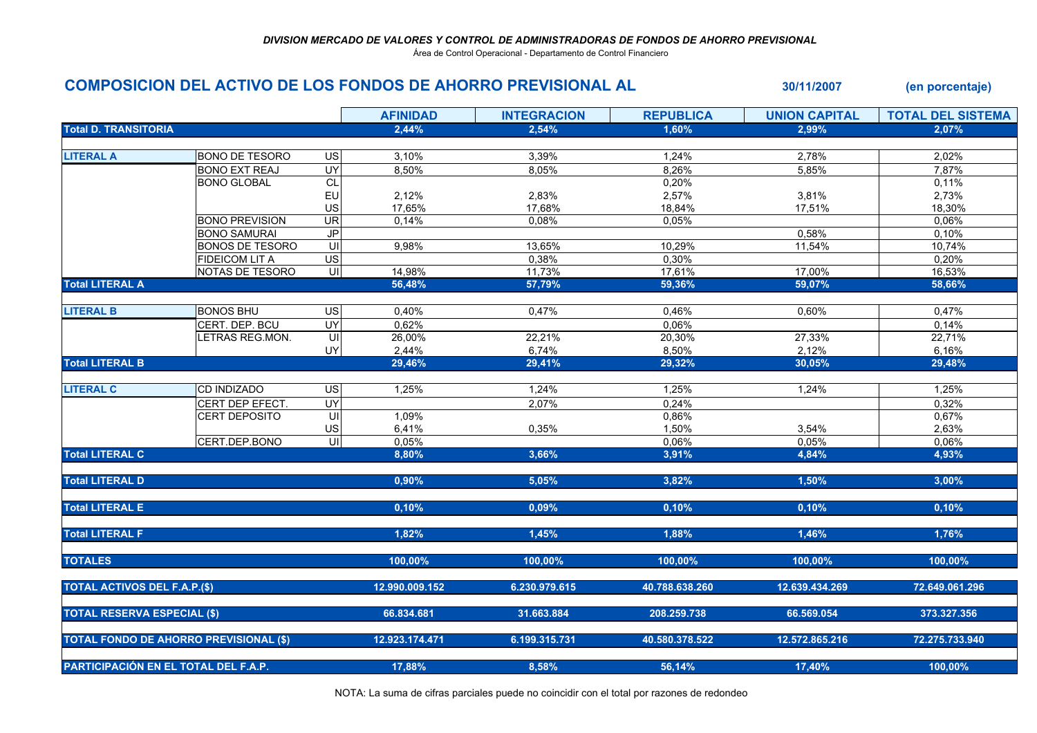Área de Control Operacional - Departamento de Control Financiero

## COMPOSICION DEL ACTIVO DE LOS FONDOS DE AHORRO PREVISIONAL AL 30/11/2007 (en porcentaje)

|                                               |                        |                | <b>AFINIDAD</b> | <b>INTEGRACION</b> | <b>REPUBLICA</b> | <b>UNION CAPITAL</b> | <b>TOTAL DEL SISTEMA</b> |
|-----------------------------------------------|------------------------|----------------|-----------------|--------------------|------------------|----------------------|--------------------------|
| <b>Total D. TRANSITORIA</b>                   |                        |                | 2,44%           | 2,54%              | 1,60%            | 2,99%                | 2,07%                    |
|                                               |                        |                |                 |                    |                  |                      |                          |
| <b>LITERAL A</b>                              | <b>BONO DE TESORO</b>  | US             | 3,10%           | 3,39%              | 1,24%            | 2,78%                | 2,02%                    |
|                                               | <b>BONO EXT REAJ</b>   | <b>UY</b>      | 8,50%           | 8,05%              | 8,26%            | 5,85%                | 7,87%                    |
|                                               | <b>BONO GLOBAL</b>     | CL             |                 |                    | 0,20%            |                      | 0,11%                    |
|                                               |                        | EU             | 2,12%           | 2,83%              | 2,57%            | 3,81%                | 2,73%                    |
|                                               |                        | US             | 17,65%          | 17,68%             | 18,84%           | 17,51%               | 18,30%                   |
|                                               | <b>BONO PREVISION</b>  | <b>UR</b>      | 0,14%           | 0,08%              | 0,05%            |                      | 0,06%                    |
|                                               | <b>BONO SAMURAI</b>    | J <sub>P</sub> |                 |                    |                  | 0,58%                | 0,10%                    |
|                                               | <b>BONOS DE TESORO</b> | $\subseteq$    | 9,98%           | 13,65%             | 10,29%           | 11,54%               | 10,74%                   |
|                                               | <b>FIDEICOM LIT A</b>  | US             |                 | 0,38%              | 0,30%            |                      | 0,20%                    |
|                                               | NOTAS DE TESORO        | $\subseteq$    | 14,98%          | 11,73%             | 17,61%           | 17,00%               | 16,53%                   |
| <b>Total LITERAL A</b>                        |                        |                | 56,48%          | 57,79%             | 59,36%           | 59,07%               | 58,66%                   |
| <b>LITERAL B</b>                              | <b>BONOS BHU</b>       | US             | 0,40%           | 0,47%              | 0,46%            | 0,60%                | 0,47%                    |
|                                               | CERT. DEP. BCU         | <b>UY</b>      | 0,62%           |                    | 0,06%            |                      | 0,14%                    |
|                                               | LETRAS REG.MON.        | $\subseteq$    | 26,00%          | 22,21%             | 20,30%           | 27,33%               | 22,71%                   |
|                                               |                        | UY             | 2,44%           | 6,74%              | 8,50%            | 2,12%                | 6,16%                    |
| <b>Total LITERAL B</b>                        |                        |                | 29,46%          | 29,41%             | 29,32%           | 30,05%               | 29,48%                   |
|                                               |                        |                |                 |                    |                  |                      |                          |
| <b>LITERAL C</b>                              | <b>CD INDIZADO</b>     | <b>US</b>      | 1,25%           | 1,24%              | 1,25%            | 1,24%                | 1,25%                    |
|                                               | CERT DEP EFECT.        | UY             |                 | 2,07%              | 0,24%            |                      | 0,32%                    |
|                                               | CERT DEPOSITO          | S              | 1,09%           |                    | 0,86%            |                      | 0,67%                    |
|                                               |                        | US             | 6,41%           | 0,35%              | 1,50%            | 3,54%                | 2,63%                    |
|                                               | CERT.DEP.BONO          | ਗ              | 0,05%           |                    | 0,06%            | 0,05%                | 0,06%                    |
| <b>Total LITERAL C</b>                        |                        |                | 8,80%           | 3,66%              | 3,91%            | 4,84%                | 4,93%                    |
|                                               |                        |                |                 |                    |                  |                      |                          |
| <b>Total LITERAL D</b>                        |                        |                | 0,90%           | 5,05%              | 3,82%            | 1,50%                | 3,00%                    |
|                                               |                        |                |                 |                    |                  |                      |                          |
| <b>Total LITERAL E</b>                        |                        |                | 0,10%           | 0,09%              | 0,10%            | 0,10%                | 0,10%                    |
| <b>Total LITERAL F</b>                        |                        |                | 1,82%           | 1,45%              | 1,88%            | 1,46%                | 1,76%                    |
|                                               |                        |                |                 |                    |                  |                      |                          |
| <b>TOTALES</b>                                |                        |                | 100,00%         | 100,00%            | 100,00%          | 100,00%              | 100,00%                  |
|                                               |                        |                |                 |                    |                  |                      |                          |
| <b>TOTAL ACTIVOS DEL F.A.P.(\$)</b>           |                        |                | 12.990.009.152  | 6.230.979.615      | 40.788.638.260   | 12.639.434.269       | 72.649.061.296           |
| <b>TOTAL RESERVA ESPECIAL (\$)</b>            |                        |                | 66.834.681      | 31.663.884         | 208.259.738      | 66.569.054           | 373.327.356              |
|                                               |                        |                |                 |                    |                  |                      |                          |
| <b>TOTAL FONDO DE AHORRO PREVISIONAL (\$)</b> |                        |                | 12.923.174.471  | 6.199.315.731      | 40.580.378.522   | 12.572.865.216       | 72.275.733.940           |
| PARTICIPACIÓN EN EL TOTAL DEL F.A.P.          |                        |                | 17,88%          | 8,58%              | 56,14%           | 17,40%               | 100,00%                  |
|                                               |                        |                |                 |                    |                  |                      |                          |

NOTA: La suma de cifras parciales puede no coincidir con el total por razones de redondeo